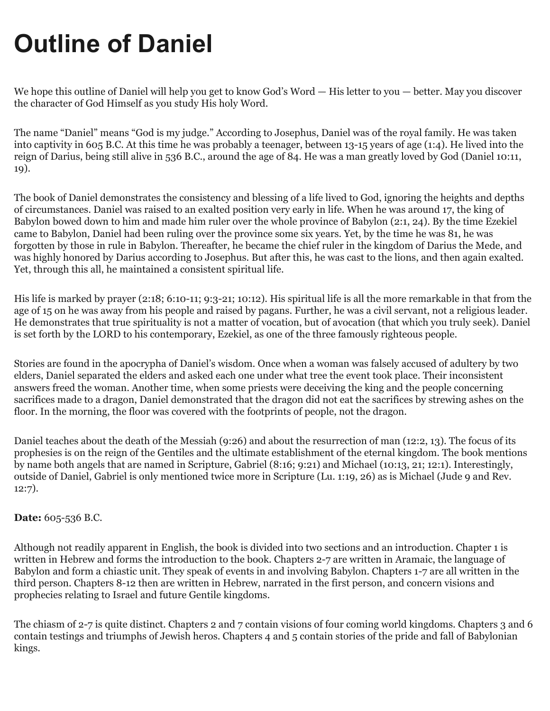# **Outline of Daniel**

We hope this outline of Daniel will help you get to know God's Word — His letter to you — better. May you discover the character of God Himself as you study His holy Word.

The name "Daniel" means "God is my judge." According to Josephus, Daniel was of the royal family. He was taken into captivity in 605 B.C. At this time he was probably a teenager, between 13-15 years of age (1:4). He lived into the reign of Darius, being still alive in 536 B.C., around the age of 84. He was a man greatly loved by God (Daniel 10:11, 19).

The book of Daniel demonstrates the consistency and blessing of a life lived to God, ignoring the heights and depths of circumstances. Daniel was raised to an exalted position very early in life. When he was around 17, the king of Babylon bowed down to him and made him ruler over the whole province of Babylon (2:1, 24). By the time Ezekiel came to Babylon, Daniel had been ruling over the province some six years. Yet, by the time he was 81, he was forgotten by those in rule in Babylon. Thereafter, he became the chief ruler in the kingdom of Darius the Mede, and was highly honored by Darius according to Josephus. But after this, he was cast to the lions, and then again exalted. Yet, through this all, he maintained a consistent spiritual life.

His life is marked by prayer (2:18; 6:10-11; 9:3-21; 10:12). His spiritual life is all the more remarkable in that from the age of 15 on he was away from his people and raised by pagans. Further, he was a civil servant, not a religious leader. He demonstrates that true spirituality is not a matter of vocation, but of avocation (that which you truly seek). Daniel is set forth by the LORD to his contemporary, Ezekiel, as one of the three famously righteous people.

Stories are found in the apocrypha of Daniel's wisdom. Once when a woman was falsely accused of adultery by two elders, Daniel separated the elders and asked each one under what tree the event took place. Their inconsistent answers freed the woman. Another time, when some priests were deceiving the king and the people concerning sacrifices made to a dragon, Daniel demonstrated that the dragon did not eat the sacrifices by strewing ashes on the floor. In the morning, the floor was covered with the footprints of people, not the dragon.

Daniel teaches about the death of the Messiah (9:26) and about the resurrection of man (12:2, 13). The focus of its prophesies is on the reign of the Gentiles and the ultimate establishment of the eternal kingdom. The book mentions by name both angels that are named in Scripture, Gabriel (8:16; 9:21) and Michael (10:13, 21; 12:1). Interestingly, outside of Daniel, Gabriel is only mentioned twice more in Scripture (Lu. 1:19, 26) as is Michael (Jude 9 and Rev. 12:7).

#### **Date:** 605-536 B.C.

Although not readily apparent in English, the book is divided into two sections and an introduction. Chapter 1 is written in Hebrew and forms the introduction to the book. Chapters 2-7 are written in Aramaic, the language of Babylon and form a chiastic unit. They speak of events in and involving Babylon. Chapters 1-7 are all written in the third person. Chapters 8-12 then are written in Hebrew, narrated in the first person, and concern visions and prophecies relating to Israel and future Gentile kingdoms.

The chiasm of 2-7 is quite distinct. Chapters 2 and 7 contain visions of four coming world kingdoms. Chapters 3 and 6 contain testings and triumphs of Jewish heros. Chapters 4 and 5 contain stories of the pride and fall of Babylonian kings.